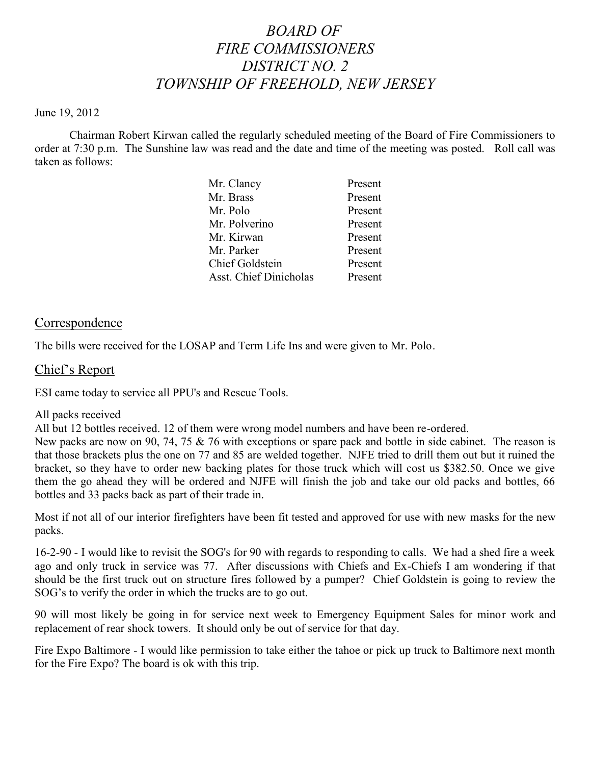# *BOARD OF FIRE COMMISSIONERS DISTRICT NO. 2 TOWNSHIP OF FREEHOLD, NEW JERSEY*

#### June 19, 2012

Chairman Robert Kirwan called the regularly scheduled meeting of the Board of Fire Commissioners to order at 7:30 p.m. The Sunshine law was read and the date and time of the meeting was posted. Roll call was taken as follows:

| Mr. Clancy                    | Present |
|-------------------------------|---------|
| Mr. Brass                     | Present |
| Mr. Polo                      | Present |
| Mr. Polverino                 | Present |
| Mr. Kirwan                    | Present |
| Mr. Parker                    | Present |
| Chief Goldstein               | Present |
| <b>Asst. Chief Dinicholas</b> | Present |
|                               |         |

### **Correspondence**

The bills were received for the LOSAP and Term Life Ins and were given to Mr. Polo.

### Chief's Report

ESI came today to service all PPU's and Rescue Tools.

#### All packs received

All but 12 bottles received. 12 of them were wrong model numbers and have been re-ordered.

New packs are now on 90, 74, 75  $\&$  76 with exceptions or spare pack and bottle in side cabinet. The reason is that those brackets plus the one on 77 and 85 are welded together. NJFE tried to drill them out but it ruined the bracket, so they have to order new backing plates for those truck which will cost us \$382.50. Once we give them the go ahead they will be ordered and NJFE will finish the job and take our old packs and bottles, 66 bottles and 33 packs back as part of their trade in.

Most if not all of our interior firefighters have been fit tested and approved for use with new masks for the new packs.

16-2-90 - I would like to revisit the SOG's for 90 with regards to responding to calls. We had a shed fire a week ago and only truck in service was 77. After discussions with Chiefs and Ex-Chiefs I am wondering if that should be the first truck out on structure fires followed by a pumper? Chief Goldstein is going to review the SOG's to verify the order in which the trucks are to go out.

90 will most likely be going in for service next week to Emergency Equipment Sales for minor work and replacement of rear shock towers. It should only be out of service for that day.

Fire Expo Baltimore - I would like permission to take either the tahoe or pick up truck to Baltimore next month for the Fire Expo? The board is ok with this trip.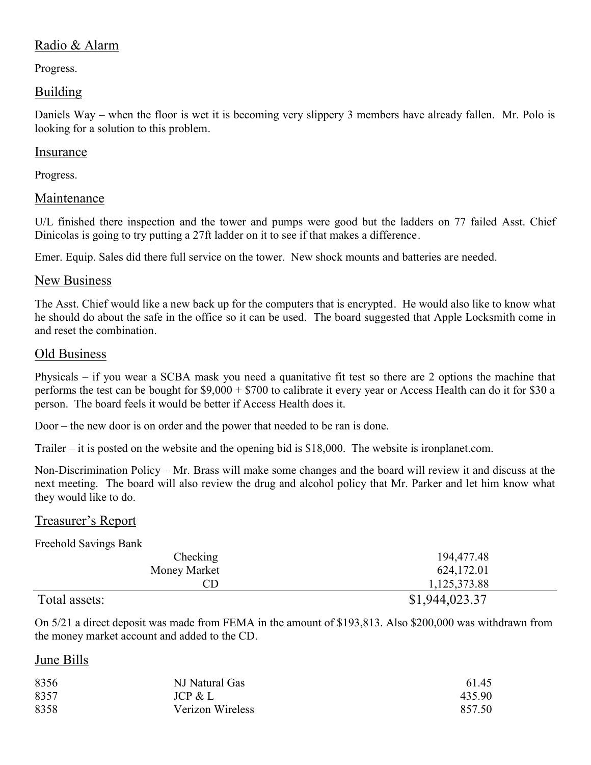# Radio & Alarm

Progress.

# Building

Daniels Way – when the floor is wet it is becoming very slippery 3 members have already fallen. Mr. Polo is looking for a solution to this problem.

### Insurance

Progress.

# Maintenance

U/L finished there inspection and the tower and pumps were good but the ladders on 77 failed Asst. Chief Dinicolas is going to try putting a 27ft ladder on it to see if that makes a difference.

Emer. Equip. Sales did there full service on the tower. New shock mounts and batteries are needed.

# New Business

The Asst. Chief would like a new back up for the computers that is encrypted. He would also like to know what he should do about the safe in the office so it can be used. The board suggested that Apple Locksmith come in and reset the combination.

# Old Business

Physicals – if you wear a SCBA mask you need a quanitative fit test so there are 2 options the machine that performs the test can be bought for \$9,000 + \$700 to calibrate it every year or Access Health can do it for \$30 a person. The board feels it would be better if Access Health does it.

Door – the new door is on order and the power that needed to be ran is done.

Trailer – it is posted on the website and the opening bid is \$18,000. The website is ironplanet.com.

Non-Discrimination Policy – Mr. Brass will make some changes and the board will review it and discuss at the next meeting. The board will also review the drug and alcohol policy that Mr. Parker and let him know what they would like to do.

# Treasurer's Report

Freehold Savings Bank

| Checking      | 194,477.48     |
|---------------|----------------|
| Money Market  | 624,172.01     |
| CD            | 1,125,373.88   |
| Total assets: | \$1,944,023.37 |

On 5/21 a direct deposit was made from FEMA in the amount of \$193,813. Also \$200,000 was withdrawn from the money market account and added to the CD.

# June Bills

| 8356 | NJ Natural Gas   | 61.45  |
|------|------------------|--------|
| 8357 | JCP & L          | 435.90 |
| 8358 | Verizon Wireless | 857.50 |